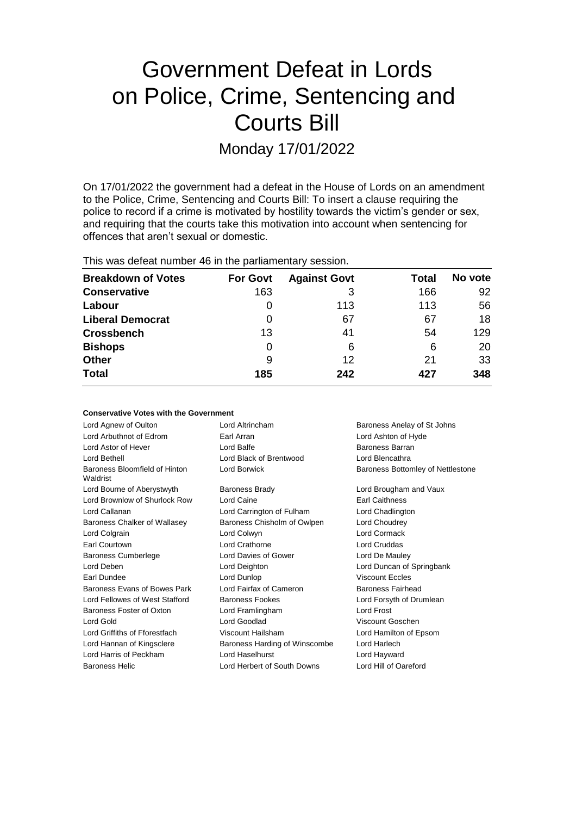# Government Defeat in Lords on Police, Crime, Sentencing and Courts Bill

Monday 17/01/2022

On 17/01/2022 the government had a defeat in the House of Lords on an amendment to the Police, Crime, Sentencing and Courts Bill: To insert a clause requiring the police to record if a crime is motivated by hostility towards the victim's gender or sex, and requiring that the courts take this motivation into account when sentencing for offences that aren't sexual or domestic.

This was defeat number 46 in the parliamentary session.

| <b>Breakdown of Votes</b> | <b>For Govt</b> | <b>Against Govt</b> | Total | No vote |
|---------------------------|-----------------|---------------------|-------|---------|
| <b>Conservative</b>       | 163             |                     | 166   | 92      |
| Labour                    | O               | 113                 | 113   | 56      |
| <b>Liberal Democrat</b>   | 0               | 67                  | 67    | 18      |
| <b>Crossbench</b>         | 13              | 41                  | 54    | 129     |
| <b>Bishops</b>            | 0               | 6                   | 6     | 20      |
| <b>Other</b>              | 9               | 12                  | 21    | 33      |
| <b>Total</b>              | 185             | 242                 | 427   | 348     |

|  |  |  | <b>Conservative Votes with the Government</b> |
|--|--|--|-----------------------------------------------|
|--|--|--|-----------------------------------------------|

| Lord Altrincham               | Baroness Anelay of St Johns       |
|-------------------------------|-----------------------------------|
| Earl Arran                    | Lord Ashton of Hyde               |
| Lord Balfe                    | Baroness Barran                   |
| Lord Black of Brentwood       | Lord Blencathra                   |
| Lord Borwick                  | Baroness Bottomley of Nettlestone |
| <b>Baroness Brady</b>         | Lord Brougham and Vaux            |
| Lord Caine                    | <b>Earl Caithness</b>             |
| Lord Carrington of Fulham     | Lord Chadlington                  |
| Baroness Chisholm of Owlpen   | Lord Choudrey                     |
| Lord Colwyn                   | Lord Cormack                      |
| Lord Crathorne                | Lord Cruddas                      |
| Lord Davies of Gower          | Lord De Mauley                    |
| Lord Deighton                 | Lord Duncan of Springbank         |
| Lord Dunlop                   | <b>Viscount Eccles</b>            |
| Lord Fairfax of Cameron       | Baroness Fairhead                 |
| Baroness Fookes               | Lord Forsyth of Drumlean          |
| Lord Framlingham              | Lord Frost                        |
| Lord Goodlad                  | Viscount Goschen                  |
| Viscount Hailsham             | Lord Hamilton of Epsom            |
| Baroness Harding of Winscombe | Lord Harlech                      |
| Lord Haselhurst               | Lord Hayward                      |
| Lord Herbert of South Downs   | Lord Hill of Oareford             |
|                               |                                   |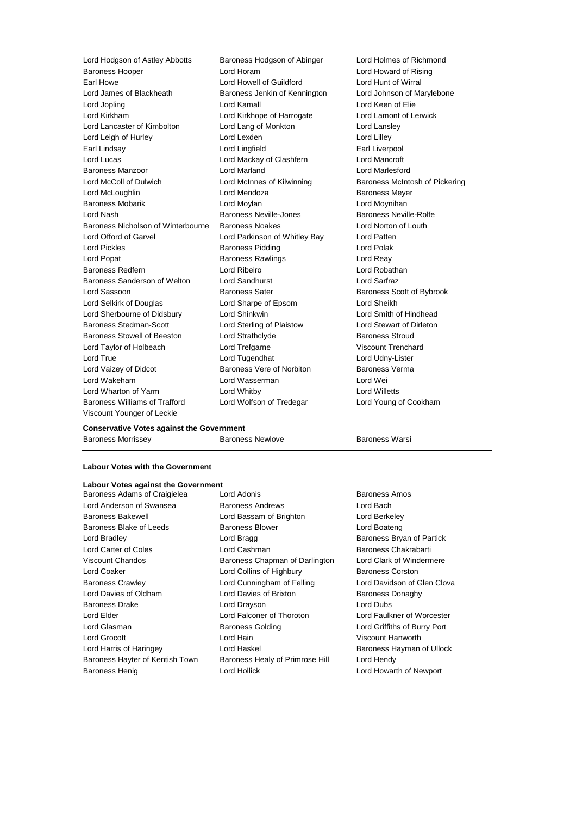Lord Hodgson of Astley Abbotts Baroness Hodgson of Abinger Lord Holmes of Richmond Baroness Hooper Lord Horam Lord Howard of Rising Earl Howe Lord Howell of Guildford Lord Hunt of Wirral Lord James of Blackheath Baroness Jenkin of Kennington Lord Johnson of Marylebone Lord Jopling Lord Kamall Lord Keen of Elie Lord Kirkham Lord Kirkhope of Harrogate Lord Lamont of Lerwick Lord Lancaster of Kimbolton Lord Lang of Monkton Lord Lansley Lord Leigh of Hurley **Lord Lord Lexden** Lord Lord Lord Lilley Earl Lindsay Lord Lingfield Earl Liverpool Lord Lucas Lord Mackay of Clashfern Baroness Manzoor Lord Marland Lord Marlesford Lord McColl of Dulwich Lord McInnes of Kilwinning Baroness McIntosh of Pickering Lord McLoughlin Lord Mendoza Baroness Meyer Baroness Mobarik Lord Moylan Lord Moynihan Lord Nash **Baroness Neville-Jones** Baroness Neville-Rolfe Baroness Nicholson of Winterbourne Baroness Noakes Lord Norton of Louth Lord Offord of Garvel Lord Parkinson of Whitley Bay Lord Patten Lord Pickles **Baroness Pidding** Lord Polak Lord Popat **Baroness Rawlings** Lord Reay Baroness Redfern Lord Ribeiro Lord Robathan Baroness Sanderson of Welton Lord Sandhurst Lord Sarfraz Lord Sassoon Baroness Sater Baroness Scott of Bybrook Lord Selkirk of Douglas Lord Sharpe of Epsom Lord Sheikh Lord Sherbourne of Didsbury Lord Shinkwin Lord Smith of Hindhead Baroness Stedman-Scott Lord Sterling of Plaistow Lord Stewart of Dirleton Baroness Stowell of Beeston Lord Strathclyde **Baroness Stroud** Lord Taylor of Holbeach Lord Trefgarne Viscount Trenchard Lord True Lord Tugendhat Lord Udny-Lister Lord Vaizey of Didcot **Baroness Vere of Norbiton** Baroness Verma Lord Wakeham Lord Wasserman Lord Wei Lord Wharton of Yarm Lord Whitby Lord Willetts Baroness Williams of Trafford Lord Wolfson of Tredegar Lord Young of Cookham Viscount Younger of Leckie

### **Conservative Votes against the Government**

Baroness Morrissey Baroness Newlove Baroness Warsi

### **Labour Votes with the Government**

### **Labour Votes against the Government**

Lord Anderson of Swansea Baroness Andrews Lord Bach Baroness Bakewell Lord Bassam of Brighton Lord Berkeley Baroness Blake of Leeds Baroness Blower Baroness Blower Lord Boateng Lord Bradley **Lord Bragg Baroness Bryan of Partick** Lord Bragg Baroness Bryan of Partick Lord Carter of Coles Lord Cashman Baroness Chakrabarti Viscount Chandos **Baroness Chapman of Darlington** Lord Clark of Windermere Lord Coaker Lord Collins of Highbury Baroness Corston Baroness Crawley Lord Cunningham of Felling Lord Davidson of Glen Clova Lord Davies of Oldham **Lord Davies of Brixton** Baroness Donaghy Baroness Drake **Lord Drayson** Lord Drayson **Lord Dubs** Lord Elder Lord Falconer of Thoroton Lord Faulkner of Worcester Lord Glasman Baroness Golding Lord Griffiths of Burry Port Lord Grocott Lord Hain Viscount Hanworth Lord Harris of Haringey **Lord Haskel Baroness Hayman of Ullock** Baroness Hayman of Ullock Baroness Hayter of Kentish Town Baroness Healy of Primrose Hill Lord Hendy Baroness Henig **Example 20** Lord Hollick **Lord Hollick** Lord Howarth of Newport

Baroness Adams of Craigielea Lord Adonis **Baroness Amos** Baroness Amos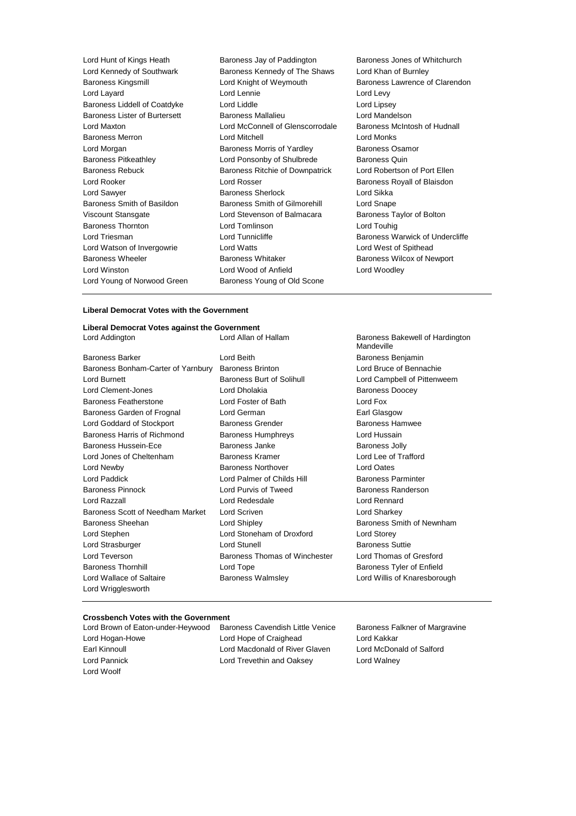| Lord Hunt of Kings Heath             | Baroness Jay of Paddington             | <b>Baroness Jo</b> |
|--------------------------------------|----------------------------------------|--------------------|
| Lord Kennedy of Southwark            | Baroness Kennedy of The Shaws          | Lord Khan o        |
| <b>Baroness Kingsmill</b>            | Lord Knight of Weymouth                | Baroness La        |
| Lord Layard                          | Lord Lennie                            | Lord Levy          |
| Baroness Liddell of Coatdyke         | Lord Liddle                            | Lord Lipsey        |
| <b>Baroness Lister of Burtersett</b> | <b>Baroness Mallalieu</b>              | Lord Mande         |
| Lord Maxton                          | Lord McConnell of Glenscorrodale       | <b>Baroness M</b>  |
| <b>Baroness Merron</b>               | <b>Lord Mitchell</b>                   | Lord Monks         |
| Lord Morgan                          | Baroness Morris of Yardley             | Baroness O         |
| <b>Baroness Pitkeathley</b>          | Lord Ponsonby of Shulbrede             | Baroness Q         |
| <b>Baroness Rebuck</b>               | <b>Baroness Ritchie of Downpatrick</b> | Lord Robert:       |
| Lord Rooker                          | Lord Rosser                            | Baroness Ro        |
| Lord Sawyer                          | <b>Baroness Sherlock</b>               | Lord Sikka         |
| Baroness Smith of Basildon           | Baroness Smith of Gilmorehill          | Lord Snape         |
| Viscount Stansgate                   | Lord Stevenson of Balmacara            | <b>Baroness Ta</b> |
| <b>Baroness Thornton</b>             | Lord Tomlinson                         | Lord Touhig        |
| Lord Triesman                        | Lord Tunnicliffe                       | <b>Baroness W</b>  |
| Lord Watson of Invergowrie           | Lord Watts                             | Lord West o        |
| <b>Baroness Wheeler</b>              | <b>Baroness Whitaker</b>               | <b>Baroness W</b>  |
| Lord Winston                         | Lord Wood of Anfield                   | Lord Woodle        |
| Lord Young of Norwood Green          | Baroness Young of Old Scone            |                    |
|                                      |                                        |                    |

Baroness Jones of Whitchurch Lord Khan of Burnley Baroness Lawrence of Clarendon Lord Lipsey Lord Mandelson Baroness McIntosh of Hudnall Baroness Osamor Baroness Quin Lord Robertson of Port Ellen Baroness Royall of Blaisdon Lord Sikka Lord Snape Baroness Taylor of Bolton Lord Touhig Baroness Warwick of Undercliffe Lord West of Spithead Baroness Wilcox of Newport Lord Woodley

#### **Liberal Democrat Votes with the Government**

### **Liberal Democrat Votes against the Government**

Baroness Barker **Communist Communist Communist Communist Communist Communist Communist Communist Communist Communist Communist Communist Communist Communist Communist Communist Communist Communist Communist Communist Commu** Baroness Bonham-Carter of Yarnbury Baroness Brinton **Lord Bruce of Bennachie** Lord Burnett **Baroness Burt of Solihull** Lord Campbell of Pittenweem Lord Clement-Jones **Lord Dholakia Lord Dholakia** Baroness Doocey Baroness Featherstone Lord Foster of Bath Lord Fox Baroness Garden of Frognal Lord German **Earl Glasgow** Earl Glasgow Lord Goddard of Stockport Baroness Grender Baroness Hamwee Baroness Harris of Richmond Baroness Humphreys Lord Hussain Baroness Hussein-Ece **Baroness Janke** Baroness Jolly Lord Jones of Cheltenham Baroness Kramer Lord Lee of Trafford Lord Newby Baroness Northover Lord Oates Lord Paddick Lord Palmer of Childs Hill Baroness Parminter Baroness Pinnock **Lord Purvis of Tweed** Baroness Randerson Lord Razzall Lord Redesdale Lord Rennard Baroness Scott of Needham Market Lord Scriven Lord Sharkey Lord Sharkey Baroness Sheehan **Baroness Sheehan** Lord Shipley **Baroness Smith of Newnham** Lord Stephen Lord Stoneham of Droxford Lord Storey Lord Strasburger **Lord Stunell** Lord Stunell **Baroness** Suttie Lord Teverson Baroness Thomas of Winchester Lord Thomas of Gresford Baroness Thornhill **Entity Control Lord Tope Baroness Tyler of Enfield Baroness Tyler of Enfield** Lord Wallace of Saltaire **Baroness Walmsley Lord Willis of Knaresborough** Cord Willis of Knaresborough Lord Wrigglesworth

Baroness Bakewell of Hardington Mandeville

#### **Crossbench Votes with the Government**

Lord Woolf

Lord Brown of Eaton-under-Heywood Baroness Cavendish Little Venice Baroness Falkner of Margravine Lord Hogan-Howe Lord Hope of Craighead Lord Kakkar Earl Kinnoull **Lord Macdonald of River Glaven** Lord McDonald of Salford Lord Pannick Lord Trevethin and Oaksey Lord Walney